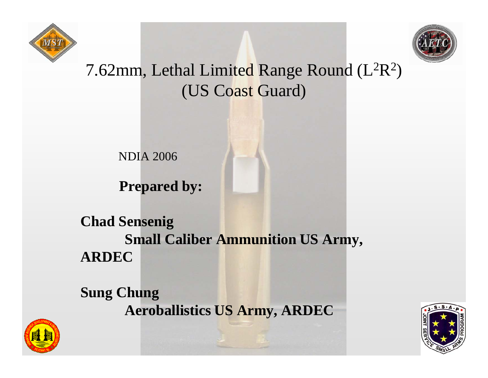



#### 7.62mm, Lethal Limited Range Round (L<sup>2</sup>R 2 ) (US Coast Guard)

NDIA 2006

**Prepared by:** 

**Chad Sensenig Small Caliber Ammunition US Army, ARDEC**

**Sung Chung Aeroballistics US Army, ARDEC**



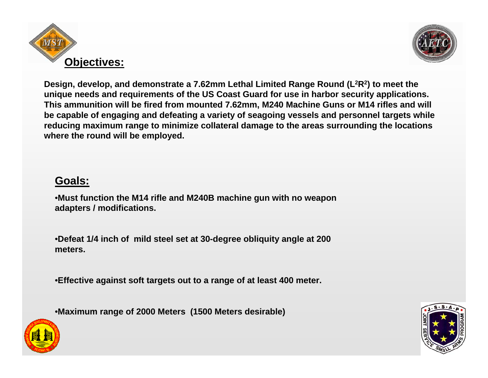



**Design, develop, and demonstrate a 7.62mm Lethal Limited Range Round (L2R2) to meet the unique needs and requirements of the US Coast Guard for use in harbor security applications. This ammunition will be fired from mounted 7.62mm, M240 Machine Guns or M14 rifles and will be capable of engaging and defeating a variety of seagoing vessels and personnel targets while reducing maximum range to minimize collateral damage to the areas surrounding the locations where the round will be employed.** 

#### **Goals:**

•**Must function the M14 rifle and M240B machine gun with no weapon adapters / modifications.**

•**Defeat 1/4 inch of mild steel set at 30-degree obliquity angle at 200 meters.**

•**Effective against soft targets out to a range of at least 400 meter.**

•**Maximum range of 2000 Meters (1500 Meters desirable)**



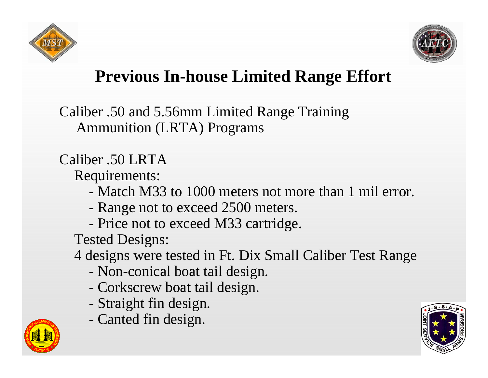



#### **Previous In-house Limited Range Effort**

Caliber .50 and 5.56mm Limited Range Training Ammunition (LRTA) Programs

#### Caliber .50 LRTA

Requirements:

- Match M33 to 1000 meters not more than 1 mil error.
- Range not to exceed 2500 meters.
- Price not to exceed M33 cartridge.

Tested Designs:

4 designs were tested in Ft. Dix Small Caliber Test Range

- Non-conical boat tail design.
- Corkscrew boat tail design.
- Straight fin design.
- Canted fin design.



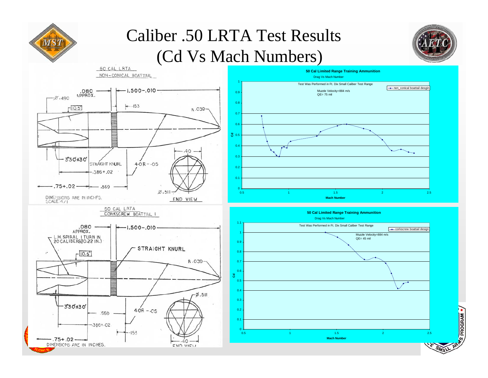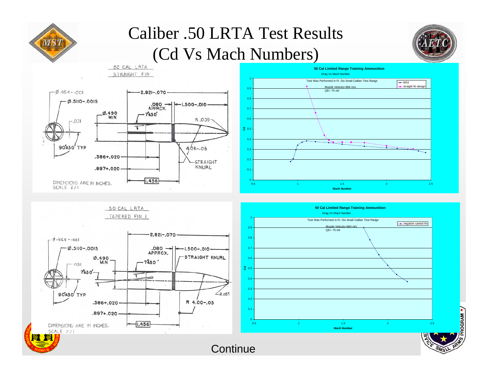

#### Caliber .50 LRTA Test Results (Cd Vs Mach Numbers)



**DGRAM .** 



**Continue**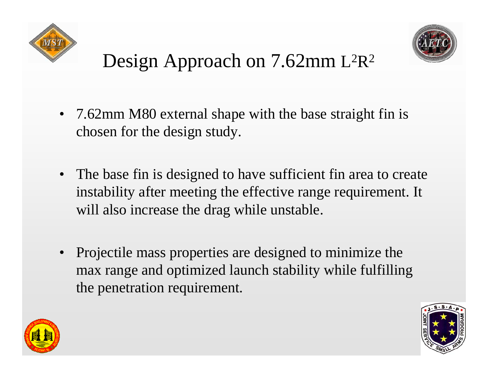



#### Design Approach on 7.62mm L  $^2{\rm R}$ 2

- 7.62mm M80 external shape with the base straight fin is chosen for the design study.
- The base fin is designed to have sufficient fin area to create instability after meeting the effective range requirement. It will also increase the drag while unstable.
- Projectile mass properties are designed to minimize the max range and optimized launch stability while fulfilling the penetration requirement.



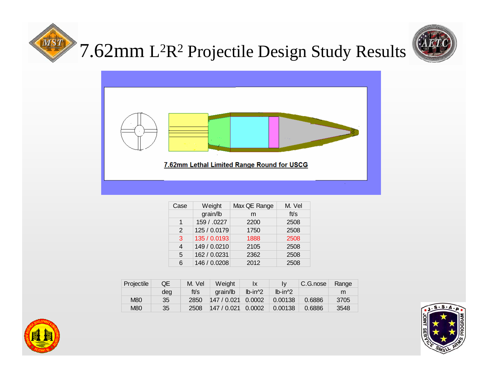

#### 7.62mm L<sup>2</sup>R<sup>2</sup> Projectile Design Study Results





| Case | Weight       | Max QE Range | M. Vel |  |
|------|--------------|--------------|--------|--|
|      | grain/lb     | m            | ft/s   |  |
| 1    | 159 / .0227  | 2200         | 2508   |  |
| 2    | 125 / 0.0179 | 1750         | 2508   |  |
| 3    | 135 / 0.0193 | 1888         | 2508   |  |
| 4    | 149 / 0.0210 | 2105         | 2508   |  |
| 5    | 162 / 0.0231 | 2362         | 2508   |  |
| 6    | 146 / 0.0208 | 2012         | 2508   |  |

| Projectile | QE  | M. Vel | Weight    | Ιx          | Iv          | C.G.nose | Range |
|------------|-----|--------|-----------|-------------|-------------|----------|-------|
|            | dea | ft/s   | arain/lb  | $Ib-in^{2}$ | $Ib-in^{2}$ |          | m     |
| <b>M80</b> | 35  | 2850   | 147/0.021 | 0.0002      | 0.00138     | 0.6886   | 3705  |
| <b>M80</b> | 35  | 2508   | 147/0.021 | 0.0002      | 0.00138     | 0.6886   | 3548  |



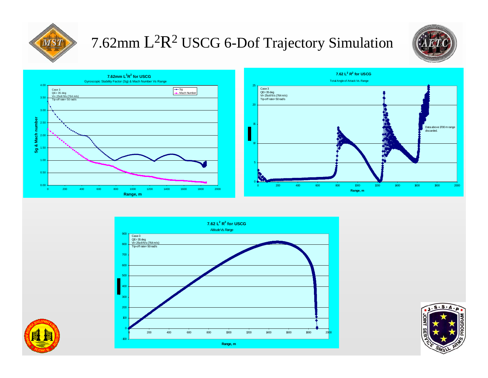

#### 7.62mm L<sup>2</sup>R<sup>2</sup> USCG 6-Dof Trajectory Simulation









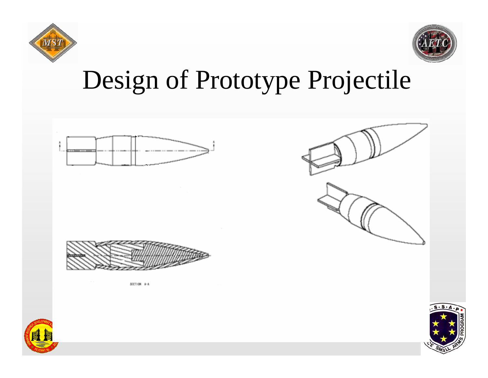



### Design of Prototype Projectile





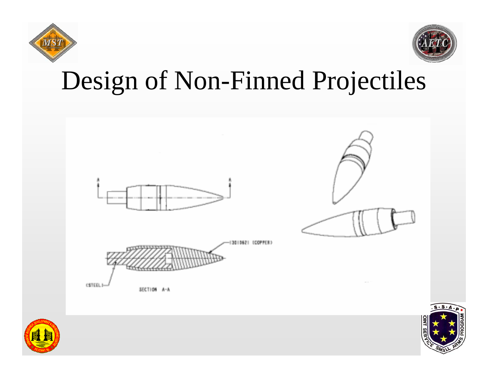



## Design of Non-Finned Projectiles





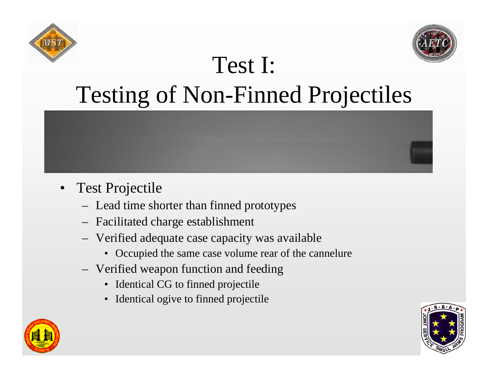



### Test I: Testing of Non-Finned Projectiles

- • Test Projectile
	- Lead time shorter than finned prototypes
	- Facilitated charge establishment
	- Verified adequate case capacity was available
		- Occupied the same case volume rear of the cannelure
	- Verified weapon function and feeding
		- Identical CG to finned projectile
		- •Identical ogive to finned projectile



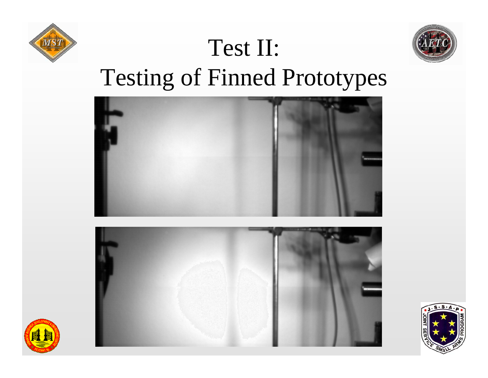



# Testing of Finned Prototypes

Test II:







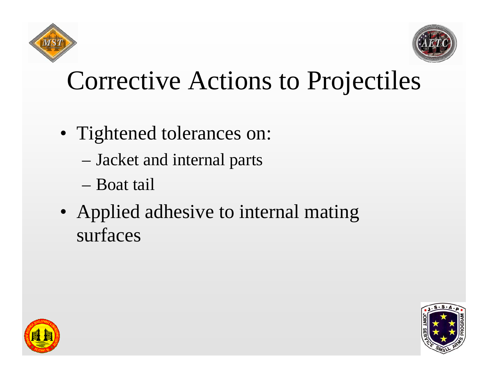



## Corrective Actions to Projectiles

- Tightened tolerances on:
	- Jacket and internal parts
	- Boat tail
- Applied adhesive to internal mating surfaces



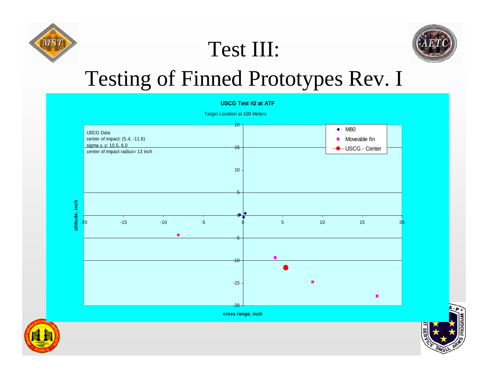

#### Test III:



#### Testing of Finned Prototypes Rev. I

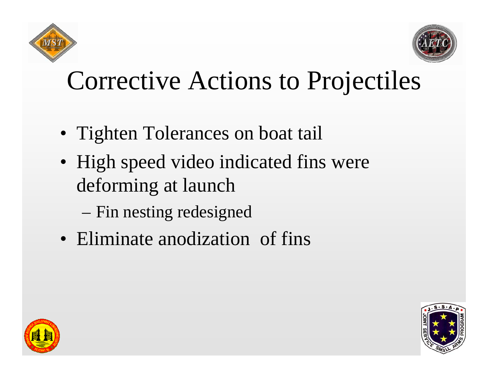



## Corrective Actions to Projectiles

- Tighten Tolerances on boat tail
- High speed video indicated fins were deforming at launch
	- Fin nesting redesigned
- Eliminate anodization of fins



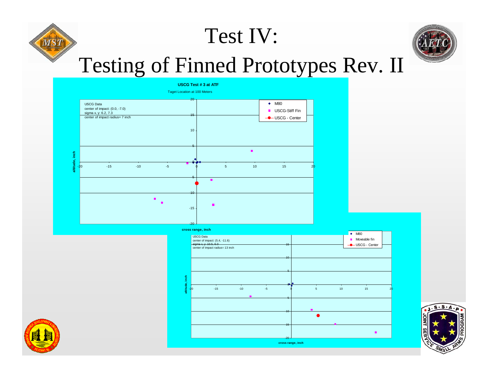# Test IV:



### Testing of Finned Prototypes Rev. II









 $\overline{MS}$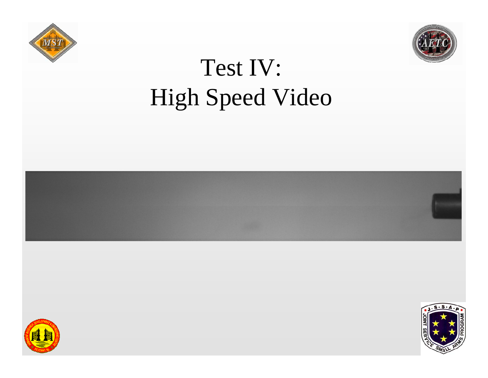



## Test IV: High Speed Video





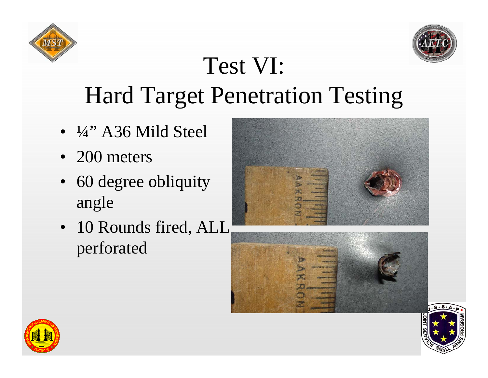



## Test VI: Hard Target Penetration Testing

- ¼" A36 Mild Steel
- 200 meters
- 60 degree obliquity angle
- 10 Rounds fired, ALL perforated